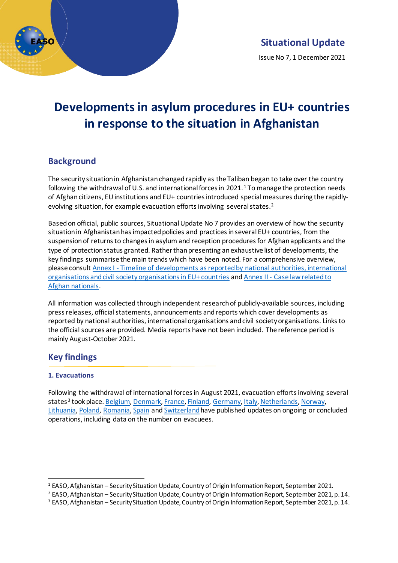

Issue No 7, 1 December 2021

# **Developments in asylum procedures in EU+ countries in response to the situation in Afghanistan**

### **Background**

The security situation in Afghanistan changed rapidly as the Taliban began to take over the country following the withdrawal of U.S. and international forces in 202[1](#page-0-0).<sup>1</sup> To manage the protection needs of Afghan citizens, EU institutions and EU+ countriesintroduced special measures during the rapidlyevolving situation, for example evacuation efforts involving several states. [2](#page-0-1)

Based on official, public sources, Situational Update No 7 provides an overview of how the security situation in Afghanistan has impacted policies and practices in several EU+ countries, from the suspension of returns to changes in asylum and reception procedures for Afghan applicants and the type of protection status granted. Rather than presenting an exhaustive list of developments, the key findings summarise the main trends which have been noted. For a comprehensive overview, please consult Annex I - [Timeline of developments as reported by national authorities, international](#page-4-0)  [organisations and civil society organisations in EU+](#page-4-0) countries and Annex II - [Case law related to](#page-19-0)  [Afghan nationals.](#page-19-0)

All information was collected through independent research of publicly-available sources, including press releases, official statements, announcements andreports which cover developments as reported by national authorities, international organisations and civil society organisations. Links to the official sources are provided. Media reports have not been included. The reference period is mainly August-October 2021.

## **Key findings**

#### **1. Evacuations**

Following the withdrawal of international forces in August 2021, evacuation efforts involving several states<sup>[3](#page-0-2)</sup> took place[. Belgium, Denmark, France, Finland, Germany, Italy, Netherlands, Norway,](#page-4-0) [Lithuania, Poland, Romania, Spain](#page-4-0) an[d Switzerland](#page-4-0)have published updates on ongoing or concluded operations, including data on the number on evacuees.

<span id="page-0-0"></span><sup>1</sup> EASO, Afghanistan – Security Situation Update, Country of Origin Information Report, September 2021.

<span id="page-0-1"></span><sup>2</sup> EASO, Afghanistan – Security Situation Update, Country of Origin Information Report, September 2021, p. 14.

<span id="page-0-2"></span><sup>3</sup> EASO, Afghanistan – Security Situation Update, Country of Origin Information Report, September 2021, p. 14.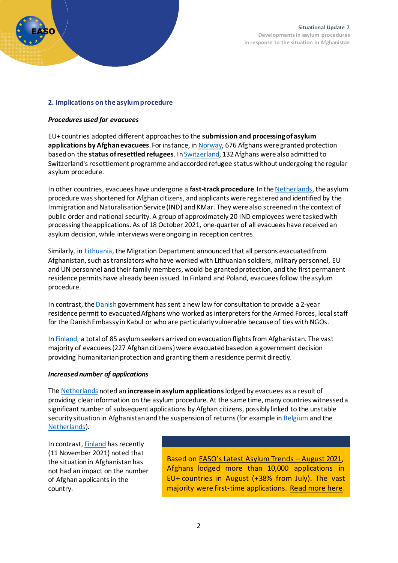

#### **2. Implications on the asylum procedure**

#### *Procedures used for evacuees*

EU+ countries adopted different approaches to the **submission and processing of asylum applications by Afghan evacuees**. For instance, i[n Norway,](#page-4-0) 676 Afghans were granted protection based on the **status of resettled refugees**. I[n Switzerland,](#page-4-0) 132 Afghans were also admitted to Switzerland's resettlement programme andaccorded refugee status without undergoing the regular asylum procedure.

In other countries, evacuees have undergone a **fast-track procedure**. In th[e Netherlands,](#page-4-0) the asylum procedure wasshortened for Afghan citizens, and applicants were registered and identified by the Immigration and Naturalisation Service (IND) and KMar. They were also screened in the context of public order and national security. A group of approximately 20 IND employees were tasked with processing the applications. As of 18 October 2021, one-quarter of all evacuees have received an asylum decision, while interviews were ongoing in reception centres.

Similarly, in [Lithuania,](#page-4-0) the Migration Department announced that all persons evacuated from Afghanistan, such astranslators who have worked with Lithuanian soldiers, military personnel, EU and UN personnel and their family members, would be granted protection, and the first permanent residence permits have already been issued. In Finland and Poland, evacuees follow the asylum procedure.

In contrast, th[e Danish](#page-4-0)government has sent a new law for consultation to provide a 2-year residence permit to evacuated Afghans who worked as interpreters for the Armed Forces, local staff for the Danish Embassy in Kabul or who are particularly vulnerable because of ties with NGOs.

I[n Finland,](#page-4-0) a total of 85 asylum seekers arrived on evacuation flights from Afghanistan. The vast majority of evacuees (227 Afghan citizens) were evacuated based on a government decision providing humanitarian protection and granting them a residence permit directly.

#### *Increased number of applications*

The [Netherlands](#page-4-0) noted an **increase in asylum applications**lodgedby evacuees as a result of providing clear information on the asylum procedure. At the same time, many countries witnessed a significant number of subsequent applications by Afghan citizens, possibly linked to the unstable security situation in Afghanistan and the suspension of returns(for example in [Belgium](https://www.cgra.be/en/news/asylum-statistics-september-2021) and th[e](https://ind.nl/en/news/Pages/Asylum-influx-in-September-2021.aspx) [Netherlands\)](https://ind.nl/en/news/Pages/Asylum-influx-in-September-2021.aspx).

In contrast[, Finland](https://migri.fi/en/-/new-country-guidelines-for-afghanistan-extensive-assessment-of-the-security-situation-to-continue?ref=newsroom) has recently (11 November 2021) noted that the situation in Afghanistan has not had an impact on the number of Afghan applicantsin the country.

Based on [EASO's Latest Asylum Trends](https://www.easo.europa.eu/latest-asylum-trends) – August 2021, Afghans lodged more than 10,000 applications in EU+ countries in August (+38% from July). The vast majority were first-time applications. [Read more here.](https://www.easo.europa.eu/latest-asylum-trends)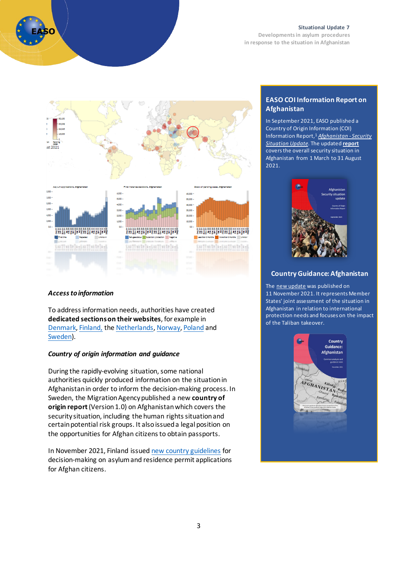

#### **Situational Update 7**

**Developments in asylum procedures in response to the situation in Afghanistan**



#### **EASO COI Information Report on Afghanistan**

In September 2021, EASO published a Country of Origin Information (COI) Information Report,1 *[Afghanistan -](https://coi.easo.europa.eu/administration/easo/PLib/2021_09_EASO_COI_Report_Afghanistan_Security_situation_update.pdf) Security [Situation Update](https://coi.easo.europa.eu/administration/easo/PLib/2021_09_EASO_COI_Report_Afghanistan_Security_situation_update.pdf)*. The updated **[report](https://coi.easo.europa.eu/administration/easo/PLib/2021_09_EASO_COI_Report_Afghanistan_Security_situation_update.pdf)** covers the overall security situation in Afghanistan from 1 March to 31 August 2021.



#### **Country Guidance: Afghanistan**

The [new update](https://easo.europa.eu/country-guidance-afghanistan-2021) was published on 11 November 2021. It represents Member States' joint assessment of the situation in Afghanistan in relation to international protection needs and focuses on the impact of the Taliban takeover.



#### *Access to information*

To address information needs, authorities have created **dedicated sections on their websites**, for example in [Denmark,](https://www.nyidanmark.dk/en-GB/Words-and-concepts/US/Asylum/FAQ-Afghanistan/?anchor=DF6BA0988DC148A6A9AA56090E9169FD&callbackItem=19087B5983F643DCB2EEFE431FE56349&callbackAnchor=19087B5983F643DCB2EEFE431FE56349DF6BA0988DC148A6A9AA56090E9169FD) [Finland,](https://migri.fi/en/faq-afghanistan) th[e Netherlands,](https://ind.nl/Paginas/Afghanistan.aspx) [Norway,](https://www.udi.no/viktige-meldinger/informasjon-om-situasjonen-i-afghanistan-og-soknader-om-opphold-i-norge/#link-27330) [Poland](https://udsc.gov.pl/materialy-informacyjne-dla-obywateli-afganistanu/) and [Sweden\)](https://www.migrationsverket.se/English/About-the-Migration-Agency/Information-regarding-the-situation-in-Afghanistan.html).

#### *Country of origin information and guidance*

During the rapidly-evolving situation, some national authorities quickly produced information on the situation in Afghanistan in order to inform the decision-making process. In Sweden, the Migration Agency published a new **country of origin report** (Version 1.0) on Afghanistan which covers the security situation, including the human rights situation and certain potential risk groups. It also issueda legal position on the opportunities for Afghan citizens to obtain passports.

In November 2021, Finland issue[d new country guidelines](https://migri.fi/en/-/new-country-guidelines-for-afghanistan-extensive-assessment-of-the-security-situation-to-continue?ref=newsroom) for decision-making on asylum and residence permit applications for Afghan citizens.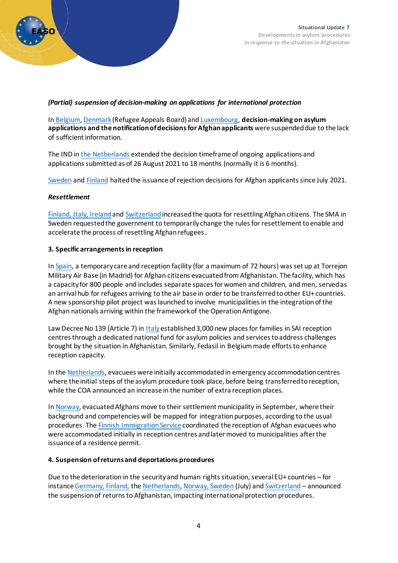

#### *(Partial) suspension of decision-making on applications for international protection*

In [Belgium, Denmark](#page-4-0) (Refugee Appeals Board) and [Luxembourg,](#page-4-0) **decision-making on asylum applications and the notification of decisions for Afghan applicants** were suspended due to the lack of sufficient information.

The IND in the [Netherlands](#page-4-0) extended the decision timeframe of ongoing applications and applications submitted as of 26 August 2021 to 18 months (normally it is 6 months).

[Sweden](#page-4-0) and [Finland](#page-4-0) halted the issuance of rejection decisions for Afghan applicants since July 2021.

#### *Resettlement*

Finland, Italy, Ireland an[d Switzerland](#page-4-0) increased the quota for resettling Afghan citizens. The SMA in Sweden requested the government to temporarily change the rules for resettlement to enable and accelerate the process of resettling Afghan refugees.

#### **3. Specific arrangements in reception**

I[n Spain,](#page-4-0) a temporary care and reception facility (for a maximum of 72 hours) was set up at Torrejon Military Air Base (in Madrid) for Afghan citizens evacuated from Afghanistan. The facility, which has a capacity for 800 people and includes separate spaces for women and children, and men, served as an arrival hub for refugees arriving to the air base in order to be transferred to other EU+ countries. A new sponsorship pilot project was launched to involve municipalities in the integrationof the Afghan nationals arriving within the framework of the Operation Antigone.

Law Decree No 139 (Article 7) in [Italy](#page-4-0)established3,000 new places for families in SAI reception centresthrough a dedicated national fund for asylum policies and services to address challenges brought by the situation in Afghanistan. Similarly, Fedasil in Belgium made efforts to enhance reception capacity.

In th[e Netherlands,](#page-4-0) evacuees were initially accommodated in emergency accommodation centres where the initial steps of the asylum procedure took place, before being transferred to reception, while the COA announced an increase in the number of extra reception places.

I[n Norway,](https://www.imdi.no/planlegging-og-bosetting/bosettingsprosessen/imdis-anmodning/) evacuated Afghans move to their settlement municipality in September, where their background and competencies will be mapped for integration purposes, according to the usual procedures. The [Finnish Immigration Service](#page-4-0) coordinated the reception of Afghan evacuees who were accommodated initially in reception centres and later moved to municipalities after the issuance of a residence permit.

#### **4. Suspension of returns and deportations procedures**

Due to the deterioration in the security and human rights situation, several EU+ countries – for instanc[e Germany,](#page-4-0) [Finland,](#page-4-0) th[e Netherlands, Norway,](#page-4-0) [Sweden](#page-4-0) (July) and [Switzerland](#page-4-0) – announced the suspension of returns to Afghanistan, impacting international protection procedures.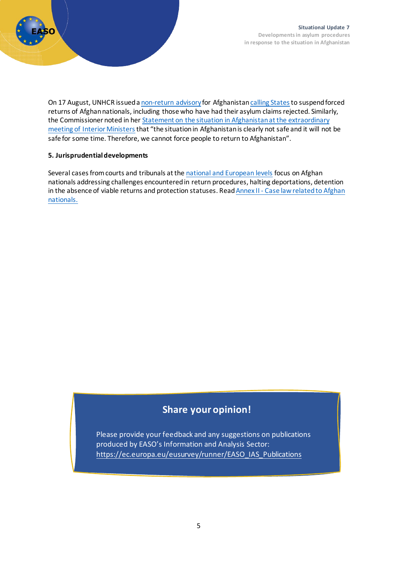

On 17 August, UNHCR issued a [non-return advisory](https://www.refworld.org/pdfid/611a4c5c4.pdf) for Afghanistan calling States to suspend forced returns of Afghan nationals, including those who have had their asylum claims rejected. Similarly, the Commissioner noted in her [Statement on the situation in Afghanistan at the extraordinary](https://ec.europa.eu/commission/presscorner/detail/en/statement_21_4286)  [meeting of Interior Ministers](https://ec.europa.eu/commission/presscorner/detail/en/statement_21_4286)that "the situation in Afghanistan is clearly not safe and it will not be safe for some time. Therefore, we cannot force people to return to Afghanistan".

#### **5. Jurisprudential developments**

<span id="page-4-0"></span>Several cases from courts and tribunals at the [national and European levels](#page-19-0) focus on Afghan nationals addressing challenges encountered in return procedures, halting deportations, detention in the absence of viable returns and protection statuses. Read Annex II - Case law related to Afghan [nationals.](#page-19-0)

# **Share your opinion!**

Please provide your feedback and any suggestions on publications produced by EASO's Information and Analysis Sector: [https://ec.europa.eu/eusurvey/runner/EASO\\_IAS\\_Publications](https://ec.europa.eu/eusurvey/runner/EASO_IAS_Publications)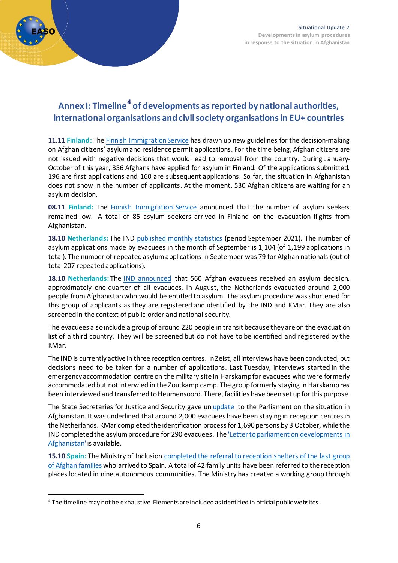

# **Annex I: Timeline[4](#page-5-0) of developments as reported by national authorities, international organisations and civil society organisationsin EU+ countries**

**11.11 Finland:** The [Finnish Immigration Service](https://migri.fi/en/-/new-country-guidelines-for-afghanistan-extensive-assessment-of-the-security-situation-to-continue?ref=newsroom) has drawn up new guidelines for the decision-making on Afghan citizens' asylum and residence permit applications. For the time being, Afghan citizens are not issued with negative decisions that would lead to removal from the country. During January-October of this year, 356 Afghans have applied for asylum in Finland. Of the applications submitted, 196 are first applications and 160 are subsequent applications. So far, the situation in Afghanistan does not show in the number of applicants. At the moment, 530 Afghan citizens are waiting for an asylum decision.

**08.11 Finland:** The [Finnish Immigration Service](https://migri.fi/en/-/the-number-of-asylum-seekers-remained-low) announced that the number of asylum seekers remained low. A total of 85 asylum seekers arrived in Finland on the evacuation flights from Afghanistan.

**18.10 Netherlands:** The IN[D published monthly statistics](https://ind.nl/en/news/Pages/Asylum-influx-in-September-2021.aspx) (period September 2021). The number of asylum applications made by evacuees in the month of September is 1,104 (of 1,199 applications in total). The number of repeatedasylum applications in September was 79 for Afghan nationals (out of total 207 repeated applications).

**18.10 Netherlands:** The [IND announced](https://ind.nl/en/news/Pages/560-Afghan-evacuees-have-received-asylum-decision.aspx) that 560 Afghan evacuees received an asylum decision, approximately one-quarter of all evacuees. In August, the Netherlands evacuated around 2,000 people from Afghanistan who would be entitled to asylum. The asylum procedure wasshortened for this group of applicants as they are registered and identified by the IND and KMar. They are also screened in the context of public order and national security.

The evacuees also include a group of around 220 people in transit because they are on the evacuation list of a third country. They will be screened but do not have to be identified and registered by the KMar.

The IND is currently active in three reception centres. In Zeist, all interviews have been conducted, but decisions need to be taken for a number of applications. Last Tuesday, interviews started in the emergency accommodation centre on the military site in Harskampfor evacuees who were formerly accommodated but not interwied in the Zoutkamp camp. The group formerly staying in Harskamp has been interviewed and transferred to Heumensoord. There, facilities have been set up for this purpose.

The State Secretaries for Justice and Security gave un [update](https://www.rijksoverheid.nl/documenten/kamerstukken/2021/10/11/20211011-kamerbrief-inzake-stand-van-zaken-afghanistan) to the Parliament on the situation in Afghanistan. It was underlined that around 2,000 evacuees have been staying in reception centres in the Netherlands. KMar completed the identification process for 1,690 persons by 3 October, while the IND completed the asylum procedure for 290 evacuees. The *Letter to parliament on developments in* [Afghanistan' i](https://www.rijksoverheid.nl/binaries/rijksoverheid/documenten/kamerstukken/2021/10/11/20211011-kamerbrief-inzake-stand-van-zaken-afghanistan/20211011-kamerbrief-inzake-stand-van-zaken-afghanistan.pdf)s available.

15.10 Spain: The Ministry of Inclusion completed the referral to reception shelters of the last group [of Afghan families](https://prensa.inclusion.gob.es/WebPrensaInclusion/noticias/inmigracionemigracion/detalle/4118) who arrived to Spain. A total of 42 family units have been referred to the reception places located in nine autonomous communities. The Ministry has created a working group through

<span id="page-5-0"></span><sup>4</sup> The timeline may not be exhaustive. Elements are included as identified in official public websites.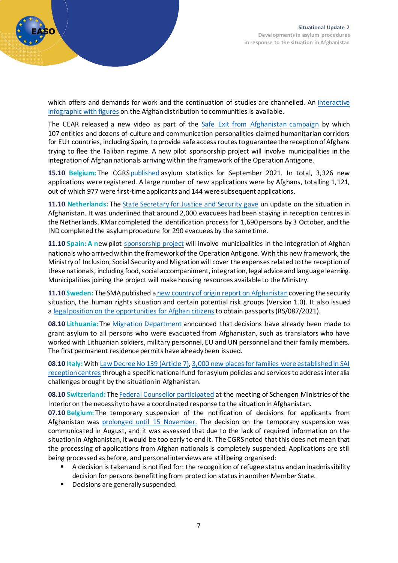

which offers and demands for work and the continuation of studies are channelled. An interactive [infographic with figures](https://prensa.inclusion.gob.es/WebPrensaInclusion/noticias/inmigracionemigracion/detalle/4118) on the Afghan distribution to communities is available.

The CEAR released a new video as part of the [Safe Exit from Afghanistan campaign](https://www.cear.es/video-salida-segura-de-afganistan/) by which 107 entities and dozens of culture and communication personalities claimed humanitarian corridors for EU+ countries, including Spain, to provide safe access routes to guarantee the reception of Afghans trying to flee the Taliban regime. A new pilot sponsorship project will involve municipalities in the integration of Afghan nationals arriving within the framework of the Operation Antigone.

**15.10 Belgium:** The CGR[Spublished](https://www.cgra.be/en/news/asylum-statistics-september-2021) asylum statistics for September 2021. In total, 3,326 new applications were registered. A large number of new applications were by Afghans, totalling 1,121, out of which 977 were first-time applicants and 144 were subsequent applications.

**11.10 Netherlands:** The State Secretary [for Justice and Security gave](https://www.rijksoverheid.nl/documenten/kamerstukken/2021/10/11/20211011-kamerbrief-inzake-stand-van-zaken-afghanistan) un update on the situation in Afghanistan. It was underlined that around 2,000 evacuees had been staying in reception centres in the Netherlands. KMar completed the identification process for 1,690 persons by 3 October, and the IND completed the asylum procedure for 290 evacuees by the same time.

**11.10 Spain: A n**ewpilot [sponsorship](https://prensa.inclusion.gob.es/WebPrensaInclusion/noticias/inmigracionemigracion/detalle/4116) [project](https://prensa.inclusion.gob.es/WebPrensaInclusion/noticias/inmigracionemigracion/detalle/4116) will involve municipalities in the integration of Afghan nationals who arrivedwithin the framework of the Operation Antigone. With this new framework, the Ministry of Inclusion, Social Security and Migration will cover the expenses related to the reception of these nationals, including food, social accompaniment, integration, legal advice and language learning. Municipalities joining the project will make housing resources available to the Ministry.

**11.10 Sweden:** The SMA published a [new country of origin report on Afghanistan](https://lifos.migrationsverket.se/dokument?documentSummaryId=45850)covering the security situation, the human rights situation and certain potential risk groups (Version 1.0). It also issued a legal position [on the opportunities for Afghan citizens](https://lifos.migrationsverket.se/dokument?documentSummaryId=45851)to obtain passports (RS/087/2021).

**08.10 Lithuania:** The [Migration Department](https://www.migracija.lt/-/prieglobstis-suteiktas-visiems-%C4%AF-lietuv%C4%85-perkeltiems-afganistanie%C4%8Diams?redirect=%2Fhome) announced that decisions have already been made to grant asylum to all persons who were evacuated from Afghanistan, such as translators who have worked with Lithuanian soldiers, military personnel, EU and UN personnel and their family members. The first permanent residence permits have already been issued.

**08.10 Italy:** With [Law Decree No 139 \(Article 7\),](https://www.normattiva.it/uri-res/N2Ls?urn:nir:stato:decreto.legge:2021-10-08;139!vig=2021-10-11) [3,000 new places for families were established in SAI](https://www.interno.gov.it/it/notizie/3000-nuovi-posti-disponibili-nel-sistema-accoglienza-e-integrazione-sai)  [reception centrest](https://www.interno.gov.it/it/notizie/3000-nuovi-posti-disponibili-nel-sistema-accoglienza-e-integrazione-sai)hrough a specific national fund for asylum policies and services to address inter alia challenges brought by the situation in Afghanistan.

**08.10 Switzerland:** Th[e Federal Counsellor participated](https://www.sem.admin.ch/sem/fr/home/sem/medien/mm.msg-id-85407.html) at the meeting of Schengen Ministries of the Interior on the necessity to have a coordinated response to the situation in Afghanistan.

**07.10 Belgium:** The temporary suspension of the notification of decisions for applicants from Afghanistan was [prolonged until 15 November.](https://www.cgra.be/en/news/temporary-partial-suspension-notification-decisions-applicants-afghanistan) The decision on the temporary suspension was communicated in August, and it was assessed that due to the lack of required information on the situation in Afghanistan, it would be too early to end it. The CGRS noted that this does not mean that the processing of applications from Afghan nationals is completely suspended. Applications are still being processed as before, and personal interviews are still being organised:

- A decision is taken and is notified for: the recognition of refugee status and an inadmissibility decision for persons benefitting from protection status in another Member State.
- Decisions are generally suspended.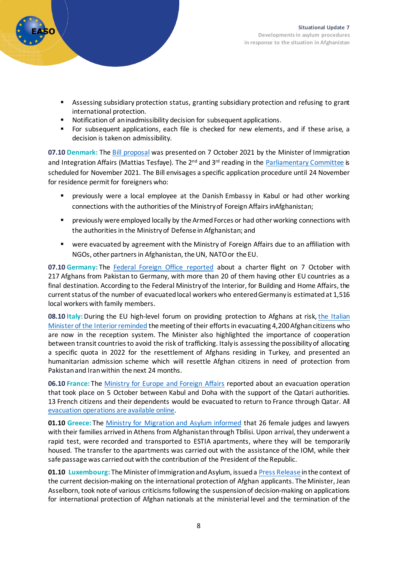

- Assessing subsidiary protection status, granting subsidiary protection and refusing to grant international protection.
- Notification of an inadmissibility decision for subsequent applications.
- For subsequent applications, each file is checked for new elements, and if these arise, a decision is taken on admissibility.

**07.10 Denmark:** The [Bill proposal](https://www.retsinformation.dk/eli/ft/202112L00043) was presented on 7 October 2021 by the Minister of Immigration and Integration Affairs (Mattias Tesfaye). The  $2^{nd}$  and  $3^{rd}$  reading in the [Parliamentary Committee](https://www.ft.dk/samling/20211/lovforslag/l43/index.htm) is scheduled for November 2021. The Bill envisages a specific application procedure until 24 November for residence permit for foreigners who:

- previously were a local employee at the Danish Embassy in Kabul or had other working connections with the authorities of the Ministry of Foreign Affairs inAfghanistan;
- previously were employed locally by the Armed Forces or had other working connections with the authorities in the Ministry of Defense in Afghanistan; and
- were evacuated by agreement with the Ministry of Foreign Affairs due to an affiliation with NGOs, other partners in Afghanistan, the UN, NATO or the EU.

**07.10 Germany:** The [Federal Foreign Office reported](https://www.auswaertiges-amt.de/de/newsroom/-/2487900) about a charter flight on 7 October with 217 Afghans from Pakistan to Germany, with more than 20 of them having other EU countries as a final destination. According to the Federal Ministry of the Interior, for Building and Home Affairs, the current status of the number of evacuated local workers who entered Germany is estimated at 1,516 local workers with family members.

**08.10 Italy:**During the EU high-level forum on providing protection to Afghans at risk, [the Italian](https://www.interno.gov.it/it/notizie/protezione-afghani-rischio-lamorgese-necessario-collaborare-i-paesi-transito-colpire-i-trafficanti)  Minister of the [Interior reminded](https://www.interno.gov.it/it/notizie/protezione-afghani-rischio-lamorgese-necessario-collaborare-i-paesi-transito-colpire-i-trafficanti) the meeting of their efforts in evacuating 4,200 Afghan citizens who are now in the reception system. The Minister also highlighted the importance of cooperation between transit countries to avoid the risk of trafficking. Italy is assessing the possibility of allocating a specific quota in 2022 for the resettlement of Afghans residing in Turkey, and presented an humanitarian admission scheme which will resettle Afghan citizens in need of protection from Pakistan and Iran within the next 24 months.

**06.10 France:** The [Ministry for Europe and Foreign Affairs](https://www.diplomatie.gouv.fr/fr/dossiers-pays/afghanistan/evenements/article/afghanistan-vol-d-evacuation-06-10-21) reported about an evacuation operation that took place on 5 October between Kabul and Doha with the support of the Qatari authorities. 13 French citizens and their dependents would be evacuated to return to France through Qatar. All [evacuation operations are available online.](https://www.diplomatie.gouv.fr/fr/dossiers-pays/afghanistan/evenements/article/afghanistan-vol-d-evacuation-06-10-21) 

**01.10 Greece:** The Ministry [for Migration and Asylum](https://migration.gov.gr/afixi-26-gynaikon-dikaston-kai-dikigoron-apo-to-afganistan-stin-athina/) informed that 26 female judges and lawyers with their families arrived in Athens from Afghanistan through Tbilisi. Upon arrival, they underwent a rapid test, were recorded and transported to ESTIA apartments, where they will be temporarily housed. The transfer to the apartments was carried out with the assistance of the IOM, while their safe passage was carried out with the contribution of the President of the Republic.

**01.10 Luxembourg:** The Minister of Immigration and Asylum, issued a [Press Release](https://maee.gouvernement.lu/fr/actualites.gouvernement%2Bfr%2Bactualites%2Btoutes_actualites%2Bcommuniques%2B2021%2B10-octobre%2B01-asselborn-dpi-afghan.html) in the context of the current decision-making on the international protection of Afghan applicants. The Minister, Jean Asselborn, took note of various criticisms following the suspension of decision-making on applications for international protection of Afghan nationals at the ministerial level and the termination of the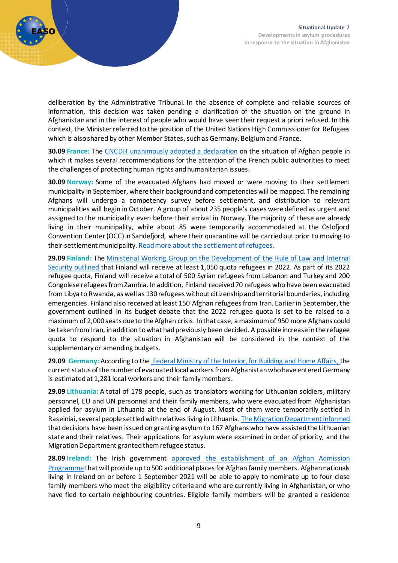

deliberation by the Administrative Tribunal. In the absence of complete and reliable sources of information, this decision was taken pending a clarification of the situation on the ground in Afghanistan and in the interest of people who would have seen their request a priori refused. In this context, the Minister referred to the position of the United Nations High Commissioner for Refugees which is also shared by other Member States, such as Germany, Belgium and France.

**30.09 France:** The [CNCDH unanimously adopted a declaration](https://www.cncdh.fr/sites/default/files/d_-_2021_-_6_-_situation_des_personnes_exilees_afghanes_sept_2021.pdf) on the situation of Afghan people in which it makes several recommendations for the attention of the French public authorities to meet the challenges of protecting human rights and humanitarian issues.

**30.09 Norway:** Some of the evacuated Afghans had moved or were moving to their settlement municipality in September, where their background and competencies will be mapped. The remaining Afghans will undergo a competency survey before settlement, and distribution to relevant municipalities will begin in October. A group of about 235 people's cases were defined as urgent and assigned to the municipality even before their arrival in Norway. The majority of these are already living in their municipality, while about 85 were temporarily accommodated at the Oslofjord Convention Center (OCC) in Sandefjord, where their quarantine will be carried out prior to moving to their settlement municipality. [Read more about the settlement of refugees.](https://www.imdi.no/planlegging-og-bosetting/bosettingsprosessen/imdis-anmodning/)

**29.09 Finland:** The [Ministerial Working Group on the Development of the Rule of Law and Internal](https://intermin.fi/-/1410853/ministerityoryhma-suomi-vastaanottaa-vuoden-2022-pakolaiskiintiossa-myos-afganistanilaisia-pakolaisia-1)  [Security outlined](https://intermin.fi/-/1410853/ministerityoryhma-suomi-vastaanottaa-vuoden-2022-pakolaiskiintiossa-myos-afganistanilaisia-pakolaisia-1) that Finland will receive at least 1,050 quota refugees in 2022. As part of its 2022 refugee quota, Finland will receive a total of 500 Syrian refugees from Lebanon and Turkey and 200 Congolese refugees from Zambia. In addition, Finland received 70 refugees who have been evacuated from Libya to Rwanda, as well as 130 refugees without citizenship and territorial boundaries, including emergencies. Finland also received at least 150 Afghan refugees from Iran. Earlier in September, the government outlined in its budget debate that the 2022 refugee quota is set to be raised to a maximum of 2,000 seats due to the Afghan crisis. In that case, a maximum of 950 more Afghans could be taken from Iran, in addition to what had previously been decided. A possible increase in the refugee quota to respond to the situation in Afghanistan will be considered in the context of the supplementary or amending budgets.

**29.09 Germany:** According to the [Federal Ministry of the Interior, for Building and Home Affairs,](https://twitter.com/BMI_Bund/status/1443160520459268099?s=20) the current status of the number of evacuated local workers from Afghanistan whohave entered Germany is estimated at 1,281 local workers and their family members.

**29.09 Lithuania:** A total of 178 people, such as translators working for Lithuanian soldiers, military personnel, EU and UN personnel and their family members, who were evacuated from Afghanistan applied for asylum in Lithuania at the end of August. Most of them were temporarily settled in Raseiniai, several people settled with relatives living in Lithuania. [The Migration Department informed](https://www.migracija.lt/lt/-/lietuvai-pad%C4%97jusiems-afganistanie%C4%8Diams-ir-j%C5%B3-artimiesiems-suteiktas-prieglobstis-lietuvoje?redirect=%2Flt%2Fnaujienos) that decisions have been issued on granting asylum to 167 Afghans who have assisted the Lithuanian state and their relatives. Their applications for asylum were examined in order of priority, and the Migration Department grantedthem refugee status.

**28.09 Ireland:** The Irish government [approved the establishment of an Afghan Admission](http://www.justice.ie/en/JELR/Pages/PR21000233)  [Programme](http://www.justice.ie/en/JELR/Pages/PR21000233) that will provide up to 500 additional places for Afghan family members. Afghan nationals living in Ireland on or before 1 September 2021 will be able to apply to nominate up to four close family members who meet the eligibility criteria and who are currently living in Afghanistan, or who have fled to certain neighbouring countries. Eligible family members will be granted a residence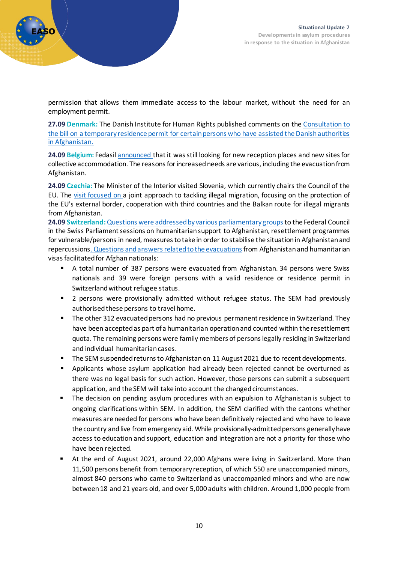permission that allows them immediate access to the labour market, without the need for an employment permit.

**27.09 Denmark:** The Danish Institute for Human Rights published comments on the [Consultation to](https://menneskeret.dk/sites/menneskeret.dk/files/media/document/H%C3%B8ringssvar%20over%20forslag%20til%20lov%20om%20midlertidig%20opholdstilladelse%20til%20visse%20personer%2C%20der%20i%20Afghanistan%20har%20bist%C3%A5et%20danske%20myndigheder.pdf)  [the bill on a temporary residence permit for certain persons who have assisted the Danish authorities](https://menneskeret.dk/sites/menneskeret.dk/files/media/document/H%C3%B8ringssvar%20over%20forslag%20til%20lov%20om%20midlertidig%20opholdstilladelse%20til%20visse%20personer%2C%20der%20i%20Afghanistan%20har%20bist%C3%A5et%20danske%20myndigheder.pdf)  [in Afghanistan.](https://menneskeret.dk/sites/menneskeret.dk/files/media/document/H%C3%B8ringssvar%20over%20forslag%20til%20lov%20om%20midlertidig%20opholdstilladelse%20til%20visse%20personer%2C%20der%20i%20Afghanistan%20har%20bist%C3%A5et%20danske%20myndigheder.pdf)

**24.09 Belgium:** Fedasil [announced](https://www.fedasil.be/fr/actualites/accueil-des-demandeurs-dasile/fedasil-recherche-des-places-daccueil) that it was still looking for new reception places and new sites for collective accommodation. The reasons for increased needs are various, including the evacuation from Afghanistan.

**24.09 Czechia:** The Minister of the Interior visited Slovenia, which currently chairs the Council of the EU. The [visit focused on](https://www.mvcr.cz/clanek/jan-hamacek-na-navsteve-slovinska-ujistil-o-ochote-ceska-pomahat-chranit-hranice-eu-pred-nelegalni-migraci.aspx) a joint approach to tackling illegal migration, focusing on the protection of the EU's external border, cooperation with third countries and the Balkan route for illegal migrants from Afghanistan.

**24.09 Switzerland:**[Questions were addressed by various parliamentary groupst](https://www.parlament.ch/en/ratsbetrieb/suche-curia-vista/geschaeft?AffairId=20214003)o the Federal Council in the Swiss Parliament sessions on humanitarian support to Afghanistan, resettlement programmes for vulnerable/persons in need, measures to take in order to stabilise the situation in Afghanistan and repercussion[s. Questions and answers related to the evacuations](https://www.parlament.ch/de/ratsbetrieb/suche-curia-vista/geschaeft?AffairId=20217797)from Afghanistan and humanitarian visas facilitated for Afghan nationals:

- A total number of 387 persons were evacuated from Afghanistan. 34 persons were Swiss nationals and 39 were foreign persons with a valid residence or residence permit in Switzerland without refugee status.
- 2 persons were provisionally admitted without refugee status. The SEM had previously authorised these persons to travel home.
- The other 312 evacuated persons had no previous permanent residence in Switzerland. They have been accepted as part of a humanitarian operation and counted within the resettlement quota. The remaining persons were family members of persons legally residing in Switzerland and individual humanitarian cases.
- **The SEM suspended returns to Afghanistan on 11 August 2021 due to recent developments.**
- **•** Applicants whose asylum application had already been rejected cannot be overturned as there was no legal basis for such action. However, those persons can submit a subsequent application, and the SEM will take into account the changed circumstances.
- **The decision on pending asylum procedures with an expulsion to Afghanistan is subject to** ongoing clarifications within SEM. In addition, the SEM clarified with the cantons whether measures are needed for persons who have been definitively rejected and who have to leave the country and live from emergency aid. While provisionally-admitted persons generally have access to education and support, education and integration are not a priority for those who have been rejected.
- At the end of August 2021, around 22,000 Afghans were living in Switzerland. More than 11,500 persons benefit from temporary reception, of which 550 are unaccompanied minors, almost 840 persons who came to Switzerland as unaccompanied minors and who are now between 18 and 21 years old, and over 5,000 adults with children. Around 1,000 people from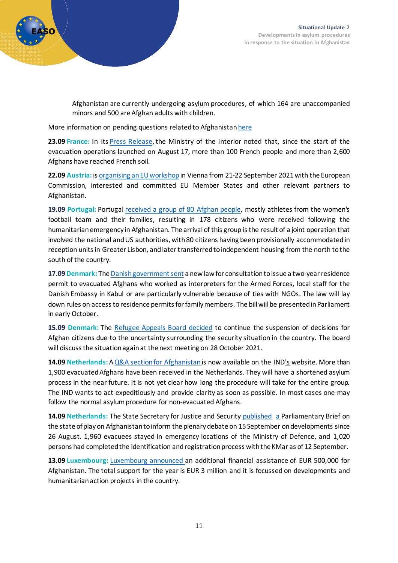

Afghanistan are currently undergoing asylum procedures, of which 164 are unaccompanied minors and 500 are Afghan adults with children.

More information on pending questions related to Afghanistan here

**23.09 France:** In its [Press Release,](https://www.interieur.gouv.fr/actualites/communiques/accueil-en-france-des-personnes-evacuees-dafghanistan) the Ministry of the Interior noted that, since the start of the evacuation operations launched on August 17, more than 100 French people and more than 2,600 Afghans have reached French soil.

**22.09 Austria:** i[s organising an EU workshop](https://www.ots.at/presseaussendung/OTS_20210921_OTS0156/bmi-eu-workshop-zu-migrations-und-sicherheitsaspekten-im-zusammenhang-mit-dem-machtwechsel-in-afghanistan)in Vienna from 21-22 September 2021 with the European Commission, interested and committed EU Member States and other relevant partners to Afghanistan.

**19.09 Portugal:** Portugal [received a group of 80 Afghan people,](https://www.portugal.gov.pt/pt/gc22/comunicacao/comunicado?i=portugal-acolhe-80-pessoas-oriundas-do-afeganistao) mostly athletes from the women's football team and their families, resulting in 178 citizens who were received following the humanitarian emergency in Afghanistan. The arrival of this group is the result of a joint operation that involved the national and US authorities, with 80 citizens having been provisionally accommodated in reception units in Greater Lisbon, and later transferred to independent housing from the north to the south of the country.

**17.09 Denmark:** Th[e Danish government sent](https://uim.dk/nyhedsarkiv/2021/september/saerloven-for-afghanske-tolke-og-lokalansatte-mv-er-sendt-i-hoering/) a new law for consultation to issue a two-year residence permit to evacuated Afghans who worked as interpreters for the Armed Forces, local staff for the Danish Embassy in Kabul or are particularly vulnerable because of ties with NGOs. The law will lay down rules on access to residence permits for family members. The bill will be presented in Parliament in early October.

**15.09 Denmark:** The [Refugee Appeals Board decided](https://fln.dk/da/Nyheder/Nyhedsarkiv/2021/150920212) to continue the suspension of decisions for Afghan citizens due to the uncertainty surrounding the security situation in the country. The board will discuss the situation again at the next meeting on 28 October 2021.

**14.09 Netherlands:** [AQ&A section](https://ids.easo.europa.eu/display/IDS/Netherlands)[for Afghanistan](https://ind.nl/Paginas/Afghanistan.aspx)[i](https://ids.easo.europa.eu/display/IDS/Netherlands)s now available on the IN[D's](https://ids.easo.europa.eu/display/IDS/Netherlands) website. More than 1,900 evacuated Afghans have been received in the Netherlands. They will have a shortened asylum process in the near future. It is not yet clear how long the procedure will take for the entire group. The IND wants to act expeditiously and provide clarity as soon as possible. In most cases one may follow the normal asylum procedure for non-evacuated Afghans.

**14.09 Netherlands:** The State Secretary for Justice and Security [published](https://www.rijksoverheid.nl/documenten/kamerstukken/2021/09/16/kamerbrief-inzake-aanvullende-vragen-afghaanse-tolken-ek) [a](https://ids.easo.europa.eu/display/IDS/Netherlands) Parliamentary Brief on the state of play on Afghanistan to inform the plenary debate on 15 September on developments since 26 August. 1,960 evacuees stayed in emergency locations of the Ministry of Defence, and 1,020 persons had completed the identification and registration process with the KMar as of 12 September.

**13.09 Luxembourg:** [Luxembourg announced](https://maee.gouvernement.lu/fr/actualites.gouvernement%2Bfr%2Bactualites%2Btoutes_actualites%2Bcommuniques%2B2021%2B09-septembre%2B13-fayot-afghanistan.html) an additional financial assistance of EUR 500,000 for Afghanistan. The total support for the year is EUR 3 million and it is focussed on developments and humanitarianaction projects in the country.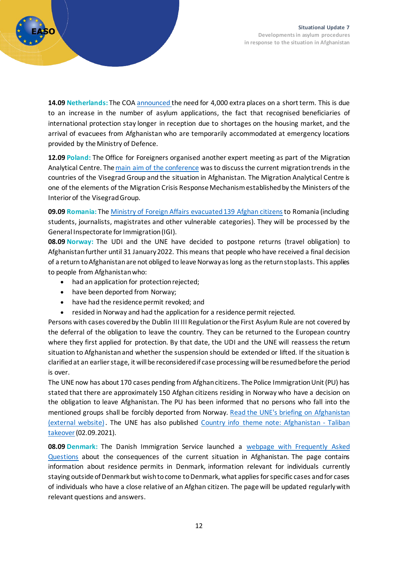

**14.09 Netherlands:** The COA [announced](https://www.coa.nl/nl/nieuws/update-benodigde-opvangcapaciteit-coa) the need for 4,000 extra places on a short term. This is due to an increase in the number of asylum applications, the fact that recognised beneficiaries of international protection stay longer in reception due to shortages on the housing market, and the arrival of evacuees from Afghanistan who are temporarily accommodated at emergency locations provided by the Ministry of Defence.

**12.09 Poland:** The Office for Foreigners organised another expert meeting as part of the Migration Analytical Centre. Th[emain aim of the conference](https://udsc.gov.pl/migracyjne-centrum-analityczne-spotkanie-ekspertow-grupy-v4/) was to discuss the current migration trends in the countries of the Visegrad Group and the situation in Afghanistan. The Migration Analytical Centre is one of the elements of the Migration Crisis Response Mechanism established by the Ministers of the Interior of the Visegrad Group.

09.09 Romania: The Ministry of Foreign [Affairs evacuated 139 Afghan citizens](https://www.mae.ro/en/node/56928) to Romania (including students, journalists, magistrates and other vulnerable categories). They will be processed by the General Inspectorate for Immigration (IGI).

**08.09 Norway:** The UDI and the UNE have decided to postpone returns (travel obligation) to Afghanistan further until 31 January 2022. This means that people who have received a final decision of a return to Afghanistan are not obliged to leave Norway as long as the return stop lasts. This applies to people from Afghanistan who:

- had an application for protection rejected;
- have been deported from Norway;
- have had the residence permit revoked; and
- resided in Norway and had the application for a residence permit rejected.

Persons with cases covered by the Dublin III III Regulation or the First Asylum Rule are not covered by the deferral of the obligation to leave the country. They can be returned to the European country where they first applied for protection. By that date, the UDI and the UNE will reassess the return situation to Afghanistan and whether the suspension should be extended or lifted. If the situation is clarified at an earlier stage, it will be reconsideredif case processing will be resumed before the period is over.

The UNE now has about 170 cases pending from Afghan citizens. The Police Immigration Unit (PU) has stated that there are approximately 150 Afghan citizens residing in Norway who have a decision on the obligation to leave Afghanistan. The PU has been informed that no persons who fall into the mentioned groups shall be forcibly deported from Norway. [Read the UNE's briefing on Afghanistan](https://www.une.no/aktuelt/arkiv/2021/forlenger-returstopp-til-afghanistan/)  [\(external website\)](https://www.une.no/aktuelt/arkiv/2021/forlenger-returstopp-til-afghanistan/). The UNE has also published [Country info theme](https://landinfo.no/wp-content/uploads/2021/09/Landinfo-temanotat-Afghanistan-Talibans-maktovertakelse-02092021.pdf) note: Afghanistan - Taliban [takeover\(](https://landinfo.no/wp-content/uploads/2021/09/Landinfo-temanotat-Afghanistan-Talibans-maktovertakelse-02092021.pdf)02.09.2021).

**08.09 Denmark:** The Danish Immigration Service launched a [webpage with Frequently Asked](https://www.nyidanmark.dk/en-GB/Words-and-concepts/US/Asylum/FAQ-Afghanistan/?anchor=DF6BA0988DC148A6A9AA56090E9169FD&callbackItem=19087B5983F643DCB2EEFE431FE56349&callbackAnchor=19087B5983F643DCB2EEFE431FE56349DF6BA0988DC148A6A9AA56090E9169FD)  [Questions](https://www.nyidanmark.dk/en-GB/Words-and-concepts/US/Asylum/FAQ-Afghanistan/?anchor=DF6BA0988DC148A6A9AA56090E9169FD&callbackItem=19087B5983F643DCB2EEFE431FE56349&callbackAnchor=19087B5983F643DCB2EEFE431FE56349DF6BA0988DC148A6A9AA56090E9169FD) about the consequences of the current situation in Afghanistan. The page contains information about residence permits in Denmark, information relevant for individuals currently staying outside of Denmark but wish to come to Denmark, what applies for specific cases and for cases of individuals who have a close relative of an Afghan citizen. The page will be updated regularly with relevant questions and answers.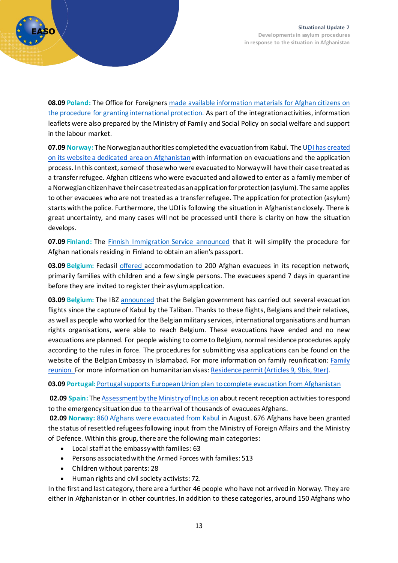

**08.09 Poland:** The Office for Foreigners [made available information materials for Afghan citizens on](https://udsc.gov.pl/materialy-informacyjne-dla-obywateli-afganistanu/)  [the procedure for granting international protection.](https://udsc.gov.pl/materialy-informacyjne-dla-obywateli-afganistanu/) As part of the integration activities, information leaflets were also prepared by the Ministry of Family and Social Policy on social welfare and support in the labour market.

**07.09 Norway:** The Norwegian authorities completed the evacuation from Kabul. The UDI has created [on its website a dedicated area on Afghanistan](https://www.udi.no/viktige-meldinger/informasjon-om-situasjonen-i-afghanistan-og-soknader-om-opphold-i-norge/#link-27330)with information on evacuations and the application process. In this context, some of those who were evacuated to Norway will have their case treated as a transfer refugee. Afghan citizens who were evacuated and allowed to enter as a family member of a Norwegian citizen have their case treated as an application for protection (asylum). The same applies to other evacuees who are not treated as a transfer refugee. The application for protection (asylum) starts with the police. Furthermore, the UDI is following the situation in Afghanistan closely. There is great uncertainty, and many cases will not be processed until there is clarity on how the situation develops.

**07.09 Finland:** The [Finnish Immigration Service announced](https://migri.fi/en/-/obtaining-an-alien-s-passport-is-made-easier-for-afghans-residing-in-finland-with-a-residence-permit) that it will simplify the procedure for Afghan nationals residing in Finland to obtain an alien's passport.

**03.09 Belgium:** Fedasil [offered](https://www.fedasil.be/fr/actualites/accueil-des-demandeurs-dasile/accueil-de-200-rapatries-dafghanistan) accommodation to 200 Afghan evacuees in its reception network, primarily families with children and a few single persons. The evacuees spend 7 days in quarantine before they are invited to register their asylum application.

**03.09 Belgium:** The IBZ [announced](https://dofi.ibz.be/fr/news/afghanistan) that the Belgian government has carried out several evacuation flights since the capture of Kabul by the Taliban. Thanks to these flights, Belgians and their relatives, as well as people who worked for the Belgian military services, international organisations and human rights organisations, were able to reach Belgium. These evacuations have ended and no new evacuations are planned. For people wishing to come to Belgium, normal residence procedures apply according to the rules in force. The procedures for submitting visa applications can be found on the website of the Belgian Embassy in Islamabad. For more information on family reunification: [Family](https://dofi.ibz.be/fr/themas/onderdanen-van-derde-landen/regroupement-familial)  [reunion.](https://dofi.ibz.be/fr/themas/onderdanen-van-derde-landen/regroupement-familial) For more information on humanitarian visas: [Residence permit \(Articles 9, 9bis, 9ter\).](https://dofi.ibz.be/fr/themes/ressortissants-dun-pays-tiers/autorisation-de-sejour-articles-9-9bis-9ter)

**03.09 Portugal:** [Portugal supports European Union plan to complete evacuation from Afghanistan](https://www.portugal.gov.pt/pt/gc22/comunicacao/noticia?i=portugal-apoia-plano-da-uniao-europeia-para-concluir-evacuacao-do-afeganistao-)

**02.09 Spain:** The [Assessment by the Ministry of Inclusion](https://ids.easo.europa.eu/display/IDS/Spain) about recent reception activities to respond to the emergency situation due to the arrival of thousands of evacuees Afghans.

**02.09 Norway:** [860 Afghans were evacuated from Kabul](https://www.udi.no/aktuelt/evakuerte-afghanere/) in August. 676 Afghans have been granted the status of resettled refugees following input from the Ministry of Foreign Affairs and the Ministry of Defence. Within this group, there are the following main categories:

- Local staff at the embassy with families: 63
- Persons associated with the Armed Forces with families: 513
- Children without parents: 28
- Human rights and civil society activists: 72.

In the first and last category, there are a further 46 people who have not arrived in Norway. They are either in Afghanistan or in other countries. In addition to these categories, around 150 Afghans who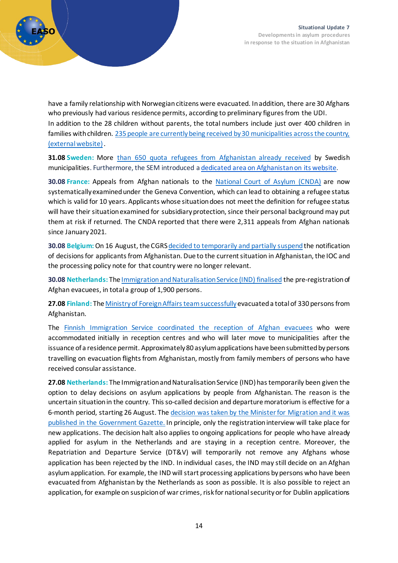

have a family relationship with Norwegian citizens were evacuated. In addition, there are 30 Afghans who previously had various residence permits, according to preliminary figures from the UDI. In addition to the 28 children without parents, the total numbers include just over 400 children in families with children. [235 people are currently being received by 30 municipalities across the country,](https://www.imdi.no/om-imdi/aktuelt-na/bosetting-av-evakuerte-afghanere-er-i-gang/)  [\(external website\)](https://www.imdi.no/om-imdi/aktuelt-na/bosetting-av-evakuerte-afghanere-er-i-gang/).

**31.08 Sweden:** More than 650 quota refugees [from Afghanistan already received](https://www.migrationsverket.se/Om-Migrationsverket/Pressrum/Nyhetsarkiv/Nyhetsarkiv-2021/2021-08-31-Drygt-650-kvotflyktingar-fran-Afghanistan-har-tagits-emot-i-Sverige.html) by Swedish municipalities. Furthermore, the SEM introduced a dedicated area [on Afghanistan on its website.](https://www.migrationsverket.se/English/About-the-Migration-Agency/Information-regarding-the-situation-in-Afghanistan.html)

**30.08 France:** Appeals from Afghan nationals to the [National Court of Asylum \(CNDA\)](http://www.cnda.fr/La-CNDA/Actualites/Communique-de-presse5) are now systematically examined under the Geneva Convention, which can lead to obtaining a refugee status which is valid for 10 years. Applicants whose situation does not meet the definition for refugee status will have their situation examined for subsidiary protection, since their personal background may put them at risk if returned. The CNDA reported that there were 2,311 appeals from Afghan nationals since January 2021.

**30.08 Belgium:** On 16 August, the CGRS decided to temporarily and partially suspend the notification of decisions for applicants from Afghanistan. Due to the current situation in Afghanistan, the IOC and the processing policy note for that country were no longer relevant.

**30.08 Netherlands:** Th[e Immigration and Naturalisation Service \(IND\) finalised](https://ind.nl/en/news/Pages/Pre-registration-of-Afghan-evacuees-completed.aspx) the pre-registration of Afghan evacuees, in total a group of 1,900 persons.

**27.08 Finland:** Th[e Ministry of Foreign Affairs team successfully](https://valtioneuvosto.fi/en/-/foreign-ministry-relief-team-leaves-afghanistan-finland-successfully-evacuates-330-persons-from-kabul)evacuated a total of 330 persons from Afghanistan.

The [Finnish Immigration Service coordinated the reception of Afghan evacuees](https://migri.fi/-/maahanmuuttovirasto-koordinoi-afganistanista-evakuoitujen-vastaanottoa?languageId=en_US) who were accommodated initially in reception centres and who will later move to municipalities after the issuance of a residence permit. Approximately 80 asylum applications have been submitted by persons travelling on evacuation flights from Afghanistan, mostly from family members of persons who have received consular assistance.

**27.08 Netherlands:** The Immigration and Naturalisation Service (IND) has temporarily been given the option to delay decisions on asylum applications by people from Afghanistan. The reason is the uncertain situation in the country. This so-called decision and departure moratorium is effective for a 6-month period, starting 26 August. The decision was taken by the Minister for Migration and it was [published in the Government Gazette.](https://ind.nl/en/news/pages/ind-is-allowed-to-decide-later-on-afghan-asylum-applications.aspx) In principle, only the registration interview will take place for new applications. The decision halt also applies to ongoing applications for people who have already applied for asylum in the Netherlands and are staying in a reception centre. Moreover, the Repatriation and Departure Service (DT&V) will temporarily not remove any Afghans whose application has been rejected by the IND. In individual cases, the IND may still decide on an Afghan asylum application. For example, the IND will start processing applications by persons who have been evacuated from Afghanistan by the Netherlands as soon as possible. It is also possible to reject an application, for example on suspicion of war crimes, risk for national security or for Dublin applications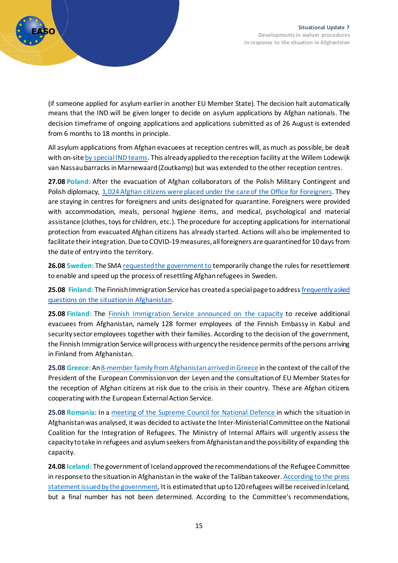

(if someone applied for asylum earlier in another EU Member State). The decision halt automatically means that the IND will be given longer to decide on asylum applications by Afghan nationals. The decision timeframe of ongoing applications and applications submitted as of 26 August is extended from 6 months to 18 months in principle.

All asylum applications from Afghan evacuees at reception centres will, as much as possible, be dealt with on-sit[e by special IND teams.](https://ind.nl/en/news/pages/more-effort-on-the-part-of-the-ind-for-afghan-evacuees.aspx) This already applied to the reception facility at the Willem Lodewijk van Nassau barracks in Marnewaard (Zoutkamp) but was extended to the other reception centres.

**27.08 Poland:** After the evacuation of Afghan collaborators of the Polish Military Contingent and Polish diplomacy, [1,024 Afghan citizens were placed under the care of the Office for Foreigners.](https://udsc.gov.pl/komunikat-dot-afganskich-wspolpracownikow-i-ich-rodzin-ewakuowanych-z-kabulu/) They are staying in centres for foreigners and units designated for quarantine. Foreigners were provided with accommodation, meals, personal hygiene items, and medical, psychological and material assistance (clothes, toys for children, etc.). The procedure for accepting applications for international protection from evacuated Afghan citizens has already started. Actions will also be implemented to facilitate their integration. Due to COVID-19 measures, all foreigners are quarantined for 10 days from the date of entry into the territory.

**26.08 Sweden:** The SMA [requested the government to](https://www.migrationsverket.se/Om-Migrationsverket/Pressrum/Nyhetsarkiv/Nyhetsarkiv-2021/2021-08-26-Migrationsverket-arbetar-intensivt-med-att-ta-emot-evakuerade-afghaner.html) temporarily change the rules for resettlement to enable and speed up the process of resettling Afghan refugees in Sweden.

**25.08 Finland:** The Finnish Immigration Service has created a special page to addres[sfrequently asked](https://migri.fi/en/faq-afghanistan)  questions on the [situation in Afghanistan.](https://migri.fi/en/faq-afghanistan)

**25.08 Finland:** The [Finnish Immigration Service announced](https://migri.fi/-/maahanmuuttovirastolla-on-valmius-vastaanottaa-valtioneuvoston-paattamat-lisaevakuoinnit-afganistanista?languageId=en_US) on the capacity to receive additional evacuees from Afghanistan, namely 128 former employees of the Finnish Embassy in Kabul and security sector employees together with their families. According to the decision of the government, the Finnish Immigration Service will process with urgency the residence permits of the persons arriving in Finland from Afghanistan.

**25.08 Greece:** A[n8-member family from Afghanistan arrived in Greece](https://migration.gov.gr/afixi-8meloys-oikogeneias-afganon-stin-ellada/) in the context of the call of the President of the European Commission von der Leyen and the consultation of EU Member States for the reception of Afghan citizens at risk due to the crisis in their country. These are Afghan citizens cooperating with the European External Action Service.

**25.08 Romania:** In a [meeting of the Supreme Council for National Defence](https://csat.presidency.ro/ro/comuni/sedinta-consiliului-suprem-de-aparare-a-tarii1629909390) in which the situation in Afghanistan was analysed, it was decided to activate the Inter-Ministerial Committee on the National Coalition for the Integration of Refugees. The Ministry of Internal Affairs will urgently assess the capacity to take in refugees and asylum seekers from Afghanistan and the possibility of expanding this capacity.

**24.08 Iceland:** The government of Iceland approved the recommendations of the Refugee Committee in response to the situation in Afghanistan in the wake of the Taliban takeover. [According to the press](https://www.stjornarradid.is/default.aspx?pageid=e5cf150d-33a7-11e6-80c7-005056bc217f&newsid=ce21e8df-04cb-11ec-813f-005056bc8c60)  [statement issued by the government,](https://www.stjornarradid.is/default.aspx?pageid=e5cf150d-33a7-11e6-80c7-005056bc217f&newsid=ce21e8df-04cb-11ec-813f-005056bc8c60) It is estimated that up to 120 refugees will be received in Iceland, but a final number has not been determined. According to the Committee's recommendations,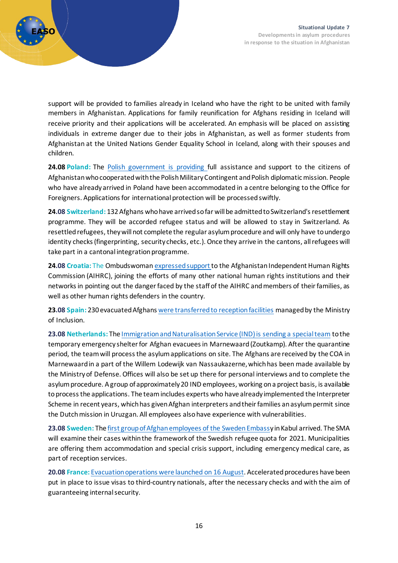

support will be provided to families already in Iceland who have the right to be united with family members in Afghanistan. Applications for family reunification for Afghans residing in Iceland will receive priority and their applications will be accelerated. An emphasis will be placed on assisting individuals in extreme danger due to their jobs in Afghanistan, as well as former students from Afghanistan at the United Nations Gender Equality School in Iceland, along with their spouses and children.

**24.08 Poland:** The [Polish government is providing](https://www.gov.pl/web/mswia/pomoc-dla-afganskich-wspolpracownikow-ewakuowanych-z-kabulu) full assistance and support to the citizens of Afghanistan who cooperated with the Polish Military Contingent and Polish diplomatic mission. People who have already arrived in Poland have been accommodated in a centre belonging to the Office for Foreigners. Applications for international protection will be processed swiftly.

**24.08 Switzerland:** 132 Afghans who have arrived sofar will be admitted to Switzerland's resettlement programme. They will be accorded refugee status and will be allowed to stay in Switzerland. As resettled refugees, they will not complete the regular asylum procedure and will only have to undergo identity checks (fingerprinting, security checks, etc.). Once they arrive in the cantons, allrefugees will take part in a cantonal integration programme.

**24.08 Croatia:** The Ombudswoman [expressed support](https://www.ombudsman.hr/en/support-to-the-afghanistan-independent-human-rights-commission/) to the Afghanistan Independent Human Rights Commission (AIHRC), joining the efforts of many other national human rights institutions and their networks in pointing out the danger faced by the staff of the AIHRC and members of their families, as well as other human rights defenders in the country.

**23.08 Spain:** 230 evacuated Afghans [were transferred to reception facilities](https://prensa.inclusion.gob.es/WebPrensaInclusion/noticias/ministro/detalle/4088) managed by the Ministry of Inclusion.

**23.08 Netherlands:** Th[e Immigration and Naturalisation Service \(IND\) is sending a special team](http://ind.nl/en/news/pages/special-ind-team-to-marnewaard-for-afghan-applications.aspx) to the temporary emergency shelter for Afghan evacuees in Marnewaard (Zoutkamp). After the quarantine period, the team will process the asylum applications on site. The Afghans are received by the COA in Marnewaard in a part of the Willem Lodewijk van Nassaukazerne, which has been made available by the Ministry of Defense. Offices will also be set up there for personal interviews and to complete the asylum procedure. A group of approximately 20 IND employees, working on a project basis, is available to process the applications. The team includes experts who have already implemented the Interpreter Scheme in recent years, which has given Afghan interpreters and their families an asylum permit since the Dutch mission in Uruzgan. All employees also have experience with vulnerabilities.

**23.08 Sweden:** Th[e first group of Afghan employees of the Sweden Embassy](https://www.migrationsverket.se/Om-Migrationsverket/Pressrum/Nyhetsarkiv/Nyhetsarkiv-2021/2021-08-23-De-forsta-lokalanstallda-i-Afghanistan-har-evakuerats.html) in Kabul arrived. The SMA will examine their cases within the framework of the Swedish refugee quota for 2021. Municipalities are offering them accommodation and special crisis support, including emergency medical care, as part of reception services.

**20.08 France:** [Evacuation operations were launched on 16 August.](https://www.interieur.gouv.fr/actualites/communiques/accueil-en-france-des-personnes-evacuees-dafghanistan) Accelerated procedures have been put in place to issue visas to third-country nationals, after the necessary checks and with the aim of guaranteeing internal security.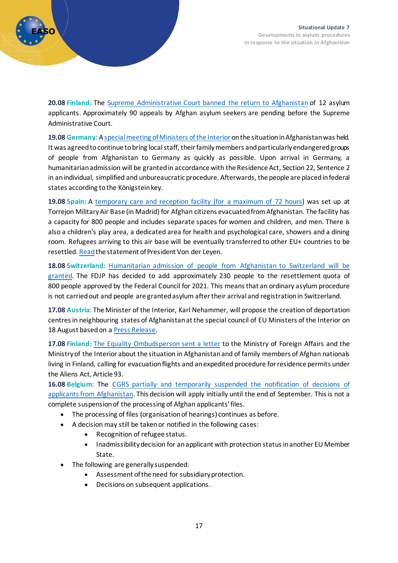

**20.08 Finland:** The [Supreme Administrative Court banned the return to Afghanistan](https://www.kho.fi/fi/index/ajankohtaista/tiedotteet/2021/khokieltaaafganistanilaistenturvapaikanhakijoidenkaannyttamispaatostentaytantoonpanon.html) of 12 asylum applicants. Approximately 90 appeals by Afghan asylum seekers are pending before the Supreme Administrative Court.

**19.08 Germany:** A special meeting [of Ministers of the Interior](https://www.bmi.bund.de/SharedDocs/pressemitteilungen/DE/2021/08/sonder-imk-afghanistan.html) on the situation in Afghanistan was held. It was agreed to continue to bring local staff, their family members and particularly endangered groups of people from Afghanistan to Germany as quickly as possible. Upon arrival in Germany, a humanitarian admission will be granted in accordance with the Residence Act, Section 22, Sentence 2 in an individual, simplified and unbureaucratic procedure. Afterwards, the people are placed infederal states according to the Königstein key.

**19.08 Spain:** A [temporary care and reception facility \(for a maximum of](https://prensa.inclusion.gob.es/WebPrensaInclusion/noticias/ministro/detalle/4087) 72 hours) was set up at Torrejon Military Air Base (in Madrid) for Afghan citizens evacuated from Afghanistan. The facility has a capacity for 800 people and includes separate spaces for women and children, and men. There is also a children's play area, a dedicated area for health and psychological care, showers and a dining room. Refugees arriving to this air base will be eventually transferred to other EU+ countries to be resettled. [Read](https://luxembourg.representation.ec.europa.eu/actualites-et-evenements/actualites/welcome-hub-evacuated-afghan-eu-delegation-staff-and-their_fr) the statement of President Von der Leyen.

**18.08 Switzerland:** [Humanitarian admission of people from Afghanistan to Switzerland will be](https://www.sem.admin.ch/sem/de/home/sem/medien/mm.msg-id-84752.html)  [granted.](https://www.sem.admin.ch/sem/de/home/sem/medien/mm.msg-id-84752.html) The FDJP has decided to add approximately 230 people to the resettlement quota of 800 people approved by the Federal Council for 2021. This means that an ordinary asylum procedure is not carried out and people are granted asylum after their arrival and registration in Switzerland.

**17.08 Austria:** The Minister of the Interior, Karl Nehammer, will propose the creation of deportation centres in neighbouring states of Afghanistan at the special council of EU Ministers of the Interior on 18 August based on a [Press Release.](https://www.bmi.gv.at/news.aspx?id=3932567A2B4C736F3457633D)

**17.08 Finland:** The [Equality Ombudsperson](https://syrjinta.fi/-/kirje-ulkoministerille-ja-sisaministerille-suomessa-asuvien-afganilaisten-perheenjasenten-tilanteesta) sent a letter to the Ministry of Foreign Affairs and the Ministry of the Interior about the situation in Afghanistan and of family members of Afghan nationals living in Finland, calling for evacuation flights and an expedited procedure for residence permits under the Aliens Act, Article 93.

**16.08 Belgium:** The CGRS [partially and temporarily suspended the notification of decisions of](https://www.cgra.be/fr/actualite/suspension-des-decisions-afghanistan)  [applicants from Afghanistan.](https://www.cgra.be/fr/actualite/suspension-des-decisions-afghanistan) This decision will apply initially until the end of September. This is not a complete suspension of the processing of Afghan applicants' files.

- The processing of files (organisation of hearings) continues as before.
- A decision may still be taken or notified in the following cases:
	- Recognition of refugee status.
	- Inadmissibility decision for an applicant with protection status in another EU Member State.
- The following are generally suspended:
	- Assessment of the need for subsidiary protection.
	- Decisions on subsequent applications.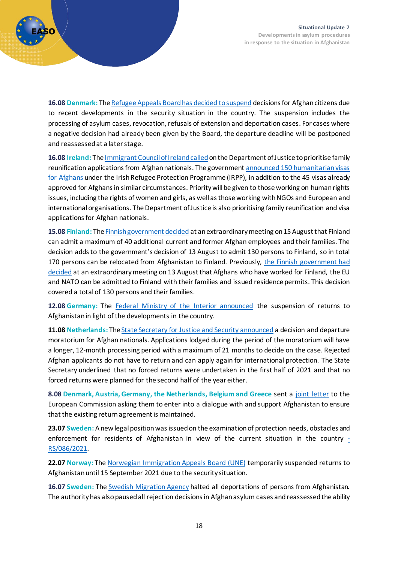

**16.08 Denmark:** The [Refugee Appeals Board has decided to suspend](https://fln.dk/da/Nyheder/Nyhedsarkiv/2021/16082021) decisions for Afghan citizens due to recent developments in the security situation in the country. The suspension includes the processing of asylum cases, revocation, refusals of extension and deportation cases. For cases where a negative decision had already been given by the Board, the departure deadline will be postponed and reassessed at a later stage.

**16.08 Ireland:** The [Immigrant Council of Ireland called](https://www.immigrantcouncil.ie/news/immigrant-council-ireland-calls-department-justice-prioritise-family-reunification)on the Department of Justice to prioritise family reunification applications from Afghan nationals. The government announced 150 [humanitarian visas](https://www.dfa.ie/news-and-media/press-releases/press-release-archive/2021/august/government-calls-for-an-end-to-the-violence-in-afghanistan-and-announces-more-humanitarian-visas.php)  for [Afghans](https://www.dfa.ie/news-and-media/press-releases/press-release-archive/2021/august/government-calls-for-an-end-to-the-violence-in-afghanistan-and-announces-more-humanitarian-visas.php) under the Irish Refugee Protection Programme (IRPP), in addition to the 45 visas already approved for Afghans in similar circumstances. Priority will be given to those working on human rights issues, including the rights of women and girls, as well as those working with NGOs and European and international organisations. The Department of Justice is also prioritising family reunification and visa applications for Afghan nationals.

**15.08 Finland:** Th[e Finnish government decided](https://intermin.fi/en/-/government-added-to-its-decision-on-afghanistan) at an extraordinary meeting on 15 August that Finland can admit a maximum of 40 additional current and former Afghan employees and their families. The decision adds to the government's decision of 13 August to admit 130 persons to Finland, so in total 170 persons can be relocated from Afghanistan to Finland. Previously, the Finnish government had [decided](https://intermin.fi/en/-/afghans-who-have-worked-for-the-authorities-can-be-admitted-to-finland) at an extraordinary meeting on 13 August that Afghans who have worked for Finland, the EU and NATO can be admitted to Finland with their families and issued residence permits. This decision covered a total of 130 persons and their families.

**12.08 Germany:** The [Federal Ministry of the Interior announced](https://www.bmi.bund.de/SharedDocs/pressemitteilungen/DE/2021/08/aussetzung-abschiebung.html) the suspension of returns to Afghanistan in light of the developments in the country.

**11.08 Netherlands:** Th[e State Secretary for Justice and Security announced](https://www.rijksoverheid.nl/documenten/kamerstukken/2021/08/11/tk-instellen-besluit-en-vertrekmoratorium-afghanistan) a decision and departure moratorium for Afghan nationals. Applications lodged during the period of the moratorium will have a longer, 12-month processing period with a maximum of 21 months to decide on the case. Rejected Afghan applicants do not have to return and can apply again for international protection. The State Secretary underlined that no forced returns were undertaken in the first half of 2021 and that no forced returns were planned for the second half of the year either.

**8.08 Denmark, Austria, Germany, the Netherlands, Belgium and Greece** sent a [joint letter](https://uim.dk/nyheder/danmark-og-fem-andre-eu-lande-opfordrer-kommissionen-til-at-ga-i-dialog-med-afghanistan-om-udsendelser) to the European Commission asking them to enter into a dialogue with and support Afghanistan to ensure that the existing return agreement is maintained.

**23.07 Sweden:** A new legal position was issued on the examination of protection needs, obstacles and enforcement for residents of Afghanistan in view of the current situation in the country  $\overline{\phantom{a}}$ [RS/086/2021.](https://lifos.migrationsverket.se/dokument?documentSummaryId=45714)

**22.07 Norway:** The [Norwegian Immigration Appeals Board \(UNE\)](https://www.une.no/en/see-more-news/archive/2021/une-suspends-returns-to-afghanistan/) temporarily suspended returns to Afghanistan until 15 September 2021 due to the security situation.

**16.07 Sweden:** The [Swedish Migration Agency](https://www.migrationsverket.se/English/About-the-Migration-Agency/Information-regarding-the-situation-in-Afghanistan.html) halted all deportations of persons from Afghanistan. The authority has also paused all rejection decisions in Afghan asylum cases and reassessed the ability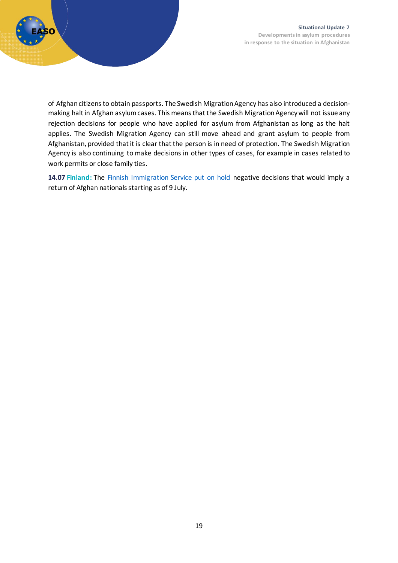

of Afghan citizens to obtain passports. The Swedish Migration Agency has also introduced a decisionmaking halt in Afghan asylum cases. This means that the Swedish Migration Agency will not issue any rejection decisions for people who have applied for asylum from Afghanistan as long as the halt applies. The Swedish Migration Agency can still move ahead and grant asylum to people from Afghanistan, provided that it is clear that the person is in need of protection. The Swedish Migration Agency is also continuing to make decisions in other types of cases, for example in cases related to work permits or close family ties.

**14.07 Finland:** The [Finnish Immigration Service put on hold](https://migri.fi/en/-/finnish-immigration-service-has-paused-issuing-of-negative-decisions-involving-removal-from-the-country-to-afghanistan) negative decisions that would imply a return of Afghan nationals starting as of 9 July.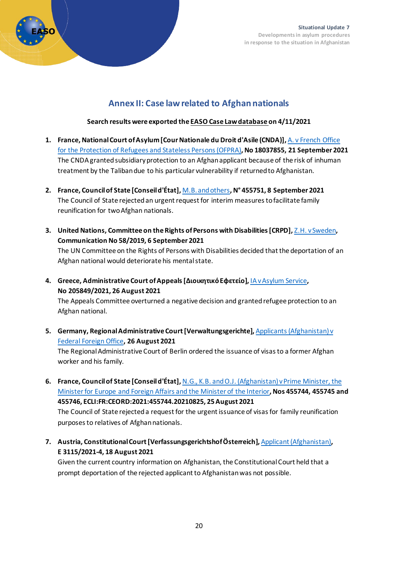

### **Annex II: Case law related to Afghan nationals**

#### **Search results were exported th[e EASO Case Law database](https://caselaw.easo.europa.eu/) on 4/11/2021**

- <span id="page-19-0"></span>**1. France, National Court of Asylum [Cour Nationale du Droit d'Asile (CNDA)],** [A. v French Office](https://caselaw.easo.europa.eu/pages/viewcaselaw.aspx?CaseLawID=2019)  [for the Protection of Refugees and Stateless Persons \(OFPRA\)](https://caselaw.easo.europa.eu/pages/viewcaselaw.aspx?CaseLawID=2019)**, No 18037855, 21 September 2021** The CNDA granted subsidiary protection to an Afghan applicant because of the risk of inhuman treatment by the Talibandue to his particular vulnerability if returned to Afghanistan.
- **2. France, Council of State [Conseil d'État],** [M.B. and others](https://caselaw.easo.europa.eu/pages/viewcaselaw.aspx?CaseLawID=2070)**, N° 455751, 8 September 2021** The Council of State rejectedan urgent request for interim measures to facilitate family reunification for two Afghan nationals.
- **3. United Nations, Committee on the Rights of Persons with Disabilities [CRPD],** [Z.H. v Sweden](https://caselaw.easo.europa.eu/pages/viewcaselaw.aspx?CaseLawID=2055)**, Communication No 58/2019, 6 September 2021**

The UN Committee on the Rights of Persons with Disabilities decided that the deportation of an Afghan national would deteriorate his mental state.

**4. Greece, Administrative Court of Appeals [Διοικητικό Εφετείο],** [IA v Asylum Service](https://caselaw.easo.europa.eu/pages/viewcaselaw.aspx?CaseLawID=2058)**, No 205849/2021, 26 August 2021**

The Appeals Committee overturned a negative decision and granted refugee protection to an Afghan national.

**5.** Germany, Regional Administrative Court [Verwaltungsgerichte], Applicants (Afghanistan) v [Federal Foreign Office](https://caselaw.easo.europa.eu/pages/viewcaselaw.aspx?CaseLawID=1972)**, 26 August 2021**

The Regional Administrative Court of Berlin ordered the issuance of visas to a former Afghan worker and his family.

- **6. France, Council of State [Conseil d'État],** [N.G., K.B. and O.J. \(Afghanistan\) v Prime Minister, the](https://caselaw.easo.europa.eu/pages/viewcaselaw.aspx?CaseLawID=1987)  [Minister for Europe and Foreign Affairs and the Minister of the Interior](https://caselaw.easo.europa.eu/pages/viewcaselaw.aspx?CaseLawID=1987)**, Nos 455744, 455745 and 455746, ECLI:FR:CEORD:2021:455744.20210825, 25 August 2021** The Council of State rejecteda request for the urgent issuance of visas for family reunification purposes to relatives of Afghan nationals.
- **7. Austria, Constitutional Court [Verfassungsgerichtshof Österreich],** [Applicant \(Afghanistan\)](https://caselaw.easo.europa.eu/pages/viewcaselaw.aspx?CaseLawID=1935)**, E 3115/2021-4, 18 August 2021**

Given the current country information on Afghanistan, the Constitutional Court held that a prompt deportation of the rejected applicant to Afghanistanwas not possible.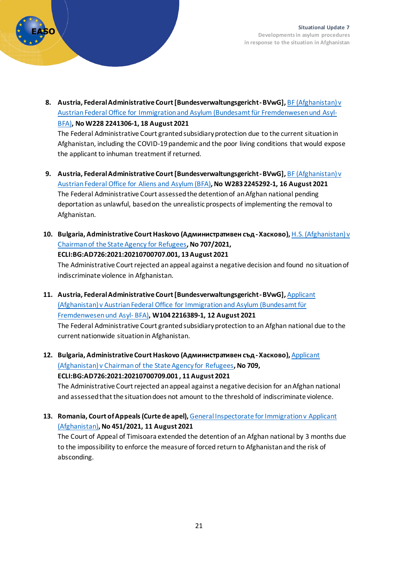

**8. Austria, Federal Administrative Court [Bundesverwaltungsgericht -BVwG],** [BF \(Afghanistan\) v](https://caselaw.easo.europa.eu/pages/viewcaselaw.aspx?CaseLawID=1942)  [Austrian Federal Office for Immigration and Asylum \(Bundesamt für Fremdenwesen und Asyl-](https://caselaw.easo.europa.eu/pages/viewcaselaw.aspx?CaseLawID=1942)[BFA\)](https://caselaw.easo.europa.eu/pages/viewcaselaw.aspx?CaseLawID=1942)**, No W228 2241306-1, 18 August 2021**

The Federal Administrative Court granted subsidiary protection due to the current situation in Afghanistan, including the COVID-19 pandemic and the poor living conditions that would expose the applicant to inhuman treatment if returned.

- **9.** Austria, Federal Administrative Court [Bundesverwaltungsgericht-BVwG], BF (Afghanistan) v [Austrian Federal Office for Aliens and Asylum \(BFA\)](https://caselaw.easo.europa.eu/pages/viewcaselaw.aspx?CaseLawID=1940)**, No W283 2245292-1, 16 August 2021** The Federal Administrative Court assessed the detention of an Afghan national pending deportation as unlawful, based on the unrealistic prospects of implementing the removal to Afghanistan.
- **10. Bulgaria, Administrative Court Haskovo (Административен съд -Хасково),** [H.S. \(Afghanistan\) v](https://caselaw.easo.europa.eu/pages/viewcaselaw.aspx?CaseLawID=1946)  [Chairman of the State Agency for Refugees](https://caselaw.easo.europa.eu/pages/viewcaselaw.aspx?CaseLawID=1946)**, No 707/2021, ECLI:BG:AD726:2021:20210700707.001, 13 August 2021**

The Administrative Court rejected anappeal against a negative decision and found no situation of indiscriminate violence in Afghanistan.

- **11. Austria, Federal Administrative Court [Bundesverwaltungsgericht -BVwG],** [Applicant](https://caselaw.easo.europa.eu/pages/viewcaselaw.aspx?CaseLawID=1939)  [\(Afghanistan\) v Austrian Federal Office for Immigration and Asylum \(Bundesamt für](https://caselaw.easo.europa.eu/pages/viewcaselaw.aspx?CaseLawID=1939)  [Fremdenwesen und Asyl-](https://caselaw.easo.europa.eu/pages/viewcaselaw.aspx?CaseLawID=1939) BFA)**, W104 2216389-1, 12 August 2021** The Federal Administrative Court granted subsidiary protection to an Afghan national due to the current nationwide situation in Afghanistan.
- **12. Bulgaria, Administrative Court Haskovo (Административен съд -Хасково),** [Applicant](https://caselaw.easo.europa.eu/pages/viewcaselaw.aspx?CaseLawID=1943)  [\(Afghanistan\) v Chairman of the State Agency for Refugees](https://caselaw.easo.europa.eu/pages/viewcaselaw.aspx?CaseLawID=1943)**, No 709, ECLI:BG:AD726:2021:20210700709.001 , 11 August 2021**

The Administrative Court rejected an appeal against a negative decision for an Afghan national and assessed that the situation does not amount to the threshold of indiscriminate violence.

**13. Romania, Court of Appeals (Curte de apel),** [General Inspectorate for Immigration v Applicant](https://caselaw.easo.europa.eu/pages/viewcaselaw.aspx?CaseLawID=1962)  [\(Afghanistan\)](https://caselaw.easo.europa.eu/pages/viewcaselaw.aspx?CaseLawID=1962)**, No 451/2021, 11 August 2021**

The Court of Appeal of Timisoara extended the detention of an Afghan national by 3 months due to the impossibility to enforce the measure of forced return to Afghanistan and the risk of absconding.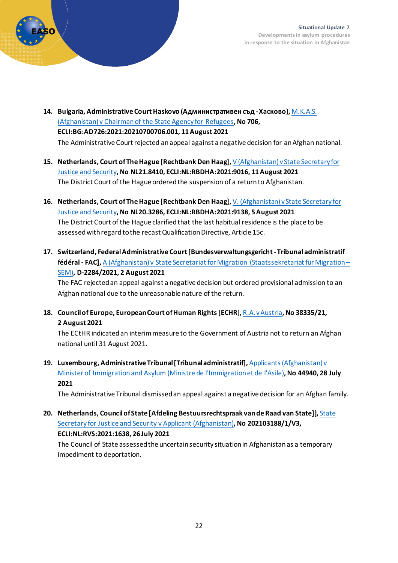

- 14. Bulgaria, Administrative Court Haskovo (Административен съд Хасково), М.К.А.S. [\(Afghanistan\) v Chairman of the State Agency for Refugees](https://caselaw.easo.europa.eu/pages/viewcaselaw.aspx?CaseLawID=1944)**, No 706, ECLI:BG:AD726:2021:20210700706.001, 11 August 2021** The Administrative Court rejected an appeal against a negative decision for an Afghan national.
- **15. Netherlands, Court of The Hague [Rechtbank Den Haag],** [V \(Afghanistan\) v State Secretary for](https://caselaw.easo.europa.eu/pages/viewcaselaw.aspx?CaseLawID=1975)  [Justice and Security](https://caselaw.easo.europa.eu/pages/viewcaselaw.aspx?CaseLawID=1975)**, No NL21.8410, ECLI:NL:RBDHA:2021:9016, 11 August 2021** The District Court of the Hague ordered the suspension of a return to Afghanistan.
- **16. Netherlands, Court of The Hague [Rechtbank Den Haag],** [V. \(Afghanistan\) v State Secretary for](https://caselaw.easo.europa.eu/pages/viewcaselaw.aspx?CaseLawID=1974)  [Justice and Security](https://caselaw.easo.europa.eu/pages/viewcaselaw.aspx?CaseLawID=1974)**, No NL20.3286, ECLI:NL:RBDHA:2021:9138, 5 August 2021** The District Court of the Hague clarifiedthat the last habitual residence is the place to be assessed with regard to the recast Qualification Directive, Article 15c.
- **17. Switzerland, Federal Administrative Court [Bundesverwaltungsgericht -Tribunal administratif fédéral - FAC],** [A \(Afghanistan\) v State Secretariat for Migration \(Staatssekretariat für Migration –](https://caselaw.easo.europa.eu/pages/viewcaselaw.aspx?CaseLawID=1912) [SEM\)](https://caselaw.easo.europa.eu/pages/viewcaselaw.aspx?CaseLawID=1912)**, D-2284/2021, 2 August 2021**

The FAC rejectedan appeal against a negative decision but ordered provisional admission to an Afghan national due to the unreasonable nature of the return.

**18. Council of Europe, European Court of Human Rights [ECHR],** [R.A. v Austria](https://caselaw.easo.europa.eu/pages/viewcaselaw.aspx?CaseLawID=1973)**, No 38335/21, 2 August 2021**

The ECtHR indicated an interim measure to the Government of Austria not to return an Afghan national until 31 August 2021.

**19. Luxembourg, Administrative Tribunal [Tribunal administratif],** [Applicants \(Afghanistan\) v](https://caselaw.easo.europa.eu/pages/viewcaselaw.aspx?CaseLawID=1967)  [Minister of Immigration and Asylum \(Ministre de l'Immigration et de l'Asile\)](https://caselaw.easo.europa.eu/pages/viewcaselaw.aspx?CaseLawID=1967)**, No 44940, 28 July 2021**

The Administrative Tribunal dismissed an appeal against a negative decision for an Afghan family.

**20. Netherlands, Council of State [Afdeling Bestuursrechtspraak van de Raad van State]],** [State](https://caselaw.easo.europa.eu/pages/viewcaselaw.aspx?CaseLawID=1949)  [Secretary for Justice and Security v Applicant \(Afghanistan\)](https://caselaw.easo.europa.eu/pages/viewcaselaw.aspx?CaseLawID=1949)**, No 202103188/1/V3, ECLI:NL:RVS:2021:1638, 26 July 2021**

The Council of State assessed the uncertain security situation in Afghanistan as a temporary impediment to deportation.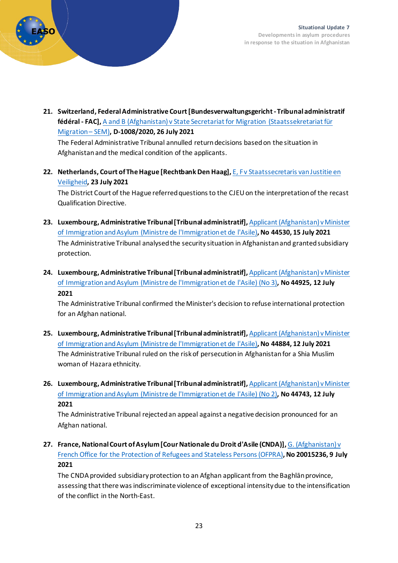

**21. Switzerland, Federal Administrative Court [Bundesverwaltungsgericht -Tribunal administratif fédéral - FAC],** [A and B \(Afghanistan\) v State Secretariat for Migration \(Staatssekretariat für](https://caselaw.easo.europa.eu/pages/viewcaselaw.aspx?CaseLawID=1907)  [Migration –](https://caselaw.easo.europa.eu/pages/viewcaselaw.aspx?CaseLawID=1907) SEM)**, D-1008/2020, 26 July 2021**

The Federal Administrative Tribunal annulled return decisions based on the situation in Afghanistan and the medical condition of the applicants.

**22. Netherlands, Court of The Hague [Rechtbank Den Haag],** [E, F v Staatssecretaris van Justitie en](https://caselaw.easo.europa.eu/pages/viewcaselaw.aspx?CaseLawID=2068)  [Veiligheid](https://caselaw.easo.europa.eu/pages/viewcaselaw.aspx?CaseLawID=2068)**, 23 July 2021**

The District Court of the Hague referred questions to the CJEU on the interpretationof the recast Qualification Directive.

- **23. Luxembourg, Administrative Tribunal [Tribunal administratif],** [Applicant \(Afghanistan\) v Minister](https://caselaw.easo.europa.eu/pages/viewcaselaw.aspx?CaseLawID=1966)  [of Immigration and Asylum \(Ministre de l'Immigration et de l'Asile\)](https://caselaw.easo.europa.eu/pages/viewcaselaw.aspx?CaseLawID=1966)**, No 44530, 15 July 2021** The Administrative Tribunal analysed the security situation in Afghanistan and granted subsidiary protection.
- **24. Luxembourg, Administrative Tribunal [Tribunal administratif],** [Applicant \(Afghanistan\) v Minister](https://caselaw.easo.europa.eu/pages/viewcaselaw.aspx?CaseLawID=1965)  [of Immigration and Asylum \(Ministre de l'Immigration et de l'Asile\) \(No 3\)](https://caselaw.easo.europa.eu/pages/viewcaselaw.aspx?CaseLawID=1965)**, No 44925, 12 July 2021**

The Administrative Tribunal confirmed the Minister's decision to refuse international protection for an Afghan national.

- **25. Luxembourg, Administrative Tribunal [Tribunal administratif],** [Applicant \(Afghanistan\) v Minister](https://caselaw.easo.europa.eu/pages/viewcaselaw.aspx?CaseLawID=1963)  [of Immigration and Asylum \(Ministre de l'Immigration et de l'Asile\)](https://caselaw.easo.europa.eu/pages/viewcaselaw.aspx?CaseLawID=1963)**, No 44884, 12 July 2021** The Administrative Tribunal ruled on the risk of persecution in Afghanistan for a Shia Muslim woman of Hazara ethnicity.
- **26. Luxembourg, Administrative Tribunal [Tribunal administratif],** [Applicant \(Afghanistan\) v Minister](https://caselaw.easo.europa.eu/pages/viewcaselaw.aspx?CaseLawID=1964)  [of Immigration and Asylum \(Ministre de l'Immigration et de l'Asile\) \(No 2\)](https://caselaw.easo.europa.eu/pages/viewcaselaw.aspx?CaseLawID=1964)**, No 44743, 12 July 2021**

The Administrative Tribunal rejected an appeal against a negative decision pronounced for an Afghan national.

**27. France, National Court of Asylum [Cour Nationale du Droit d'Asile (CNDA)],** [G. \(Afghanistan\) v](https://caselaw.easo.europa.eu/pages/viewcaselaw.aspx?CaseLawID=1882)  [French Office for the Protection of Refugees and Stateless Persons \(OFPRA\)](https://caselaw.easo.europa.eu/pages/viewcaselaw.aspx?CaseLawID=1882)**, No 20015236, 9 July 2021**

The CNDA provided subsidiary protection to an Afghan applicant from the Baghlān province, assessing that there was indiscriminate violence of exceptional intensity due to the intensification of the conflict in the North-East.